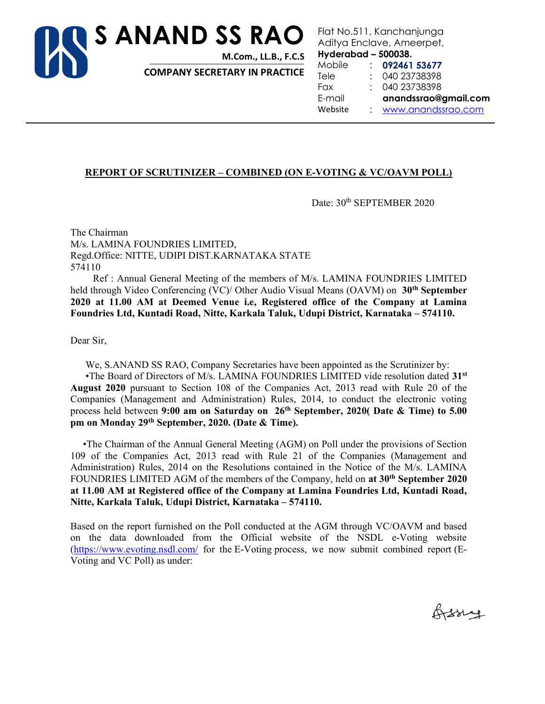

Flat No.511, Kanchanjunga Aditya Enclave, Ameerpet,

Hyderabad – 500038.

COMPANY SECRETARY IN PRACTICE

Mobile : 092461 53677 Tele : 040 23738398 Fax : 040 23738398 E-mail anandssrao@gmail.com Website : www.anandssrao.com

# REPORT OF SCRUTINIZER – COMBINED (ON E-VOTING & VC/OAVM POLL)

Date:  $30<sup>th</sup>$  SEPTEMBER 2020

The Chairman M/s. LAMINA FOUNDRIES LIMITED, Regd.Office: NITTE, UDIPI DIST.KARNATAKA STATE 574110

 Ref : Annual General Meeting of the members of M/s. LAMINA FOUNDRIES LIMITED held through Video Conferencing (VC)/ Other Audio Visual Means (OAVM) on 30<sup>th</sup> September 2020 at 11.00 AM at Deemed Venue i.e, Registered office of the Company at Lamina Foundries Ltd, Kuntadi Road, Nitte, Karkala Taluk, Udupi District, Karnataka – 574110.

Dear Sir,

We, S.ANAND SS RAO, Company Secretaries have been appointed as the Scrutinizer by:

 •The Board of Directors of M/s. LAMINA FOUNDRIES LIMITED vide resolution dated 31st August 2020 pursuant to Section 108 of the Companies Act, 2013 read with Rule 20 of the Companies (Management and Administration) Rules, 2014, to conduct the electronic voting process held between 9:00 am on Saturday on  $26<sup>th</sup>$  September, 2020( Date & Time) to 5.00 pm on Monday 29th September, 2020. (Date & Time).

 •The Chairman of the Annual General Meeting (AGM) on Poll under the provisions of Section 109 of the Companies Act, 2013 read with Rule 21 of the Companies (Management and Administration) Rules, 2014 on the Resolutions contained in the Notice of the M/s. LAMINA FOUNDRIES LIMITED AGM of the members of the Company, held on at 30<sup>th</sup> September 2020 at 11.00 AM at Registered office of the Company at Lamina Foundries Ltd, Kuntadi Road, Nitte, Karkala Taluk, Udupi District, Karnataka – 574110.

Based on the report furnished on the Poll conducted at the AGM through VC/OAVM and based on the data downloaded from the Official website of the NSDL e-Voting website (https://www.evoting.nsdl.com/ for the E-Voting process, we now submit combined report (E-Voting and VC Poll) as under:

Orssey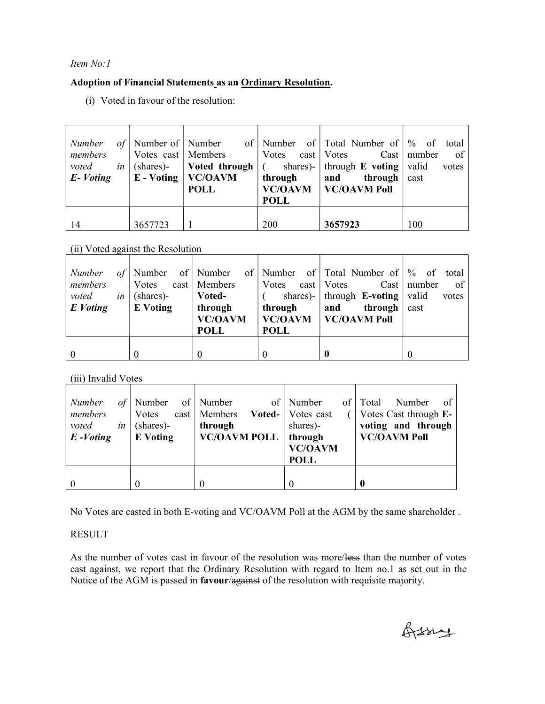# Item No:1

# Adoption of Financial Statements as an Ordinary Resolution.

(i) Voted in favour of the resolution:

| Number<br>members<br>voted<br>E-Voting | Votes cast   Members | $E - Voting   VC/OAVM$<br><b>POLL</b> | through<br><b>POLL</b> | of Number of Number of Number of Total Number of $\%$ of total<br>Votes cast   Votes Cast   number<br><i>in</i> (shares)- <b>Voted through</b> $\vert$ ( shares)- through <b>E</b> voting valid<br>through $\vert$ cast<br>and<br>VC/OAVM   VC/OAVM Poll | $\circ$ of<br>votes |
|----------------------------------------|----------------------|---------------------------------------|------------------------|----------------------------------------------------------------------------------------------------------------------------------------------------------------------------------------------------------------------------------------------------------|---------------------|
| 14                                     | 3657723              |                                       | 200                    | 3657923                                                                                                                                                                                                                                                  | 100                 |

(ii) Voted against the Resolution

| of <sub>l</sub><br><i>Number</i><br>members<br>voted<br>in <sub>1</sub><br>E Voting | Votes<br>(shares)-<br><b>E</b> Voting | cast   Members<br>Voted-<br>through<br><b>VC/OAVM</b><br><b>POLL</b> | Votes cast   Votes<br>through<br><b>POLL</b> | Number of Number of Number of Total Number of \% of total<br>shares)-   through $\mathbf{E}\text{-voting}$   valid<br>through $\vert$ cast<br>and<br><b>VC/OAVM</b>   <b>VC/OAVM</b> Poll | $Cast \mid number$<br>$\circ$ f<br>votes |
|-------------------------------------------------------------------------------------|---------------------------------------|----------------------------------------------------------------------|----------------------------------------------|-------------------------------------------------------------------------------------------------------------------------------------------------------------------------------------------|------------------------------------------|
|                                                                                     | $\theta$                              |                                                                      |                                              |                                                                                                                                                                                           |                                          |

(iii) Invalid Votes

| Number<br>οf΄<br>members<br>voted<br>in<br>$E$ -Voting | Number<br><b>V</b> otes<br>(shares)-<br><b>E</b> Voting | of   Number<br>of<br>$cast \mid$ Members<br>Voted-<br>through<br><b>VC/OAVM POLL</b> | Number<br>of  <br>Votes cast<br>shares)-<br>through<br><b>VC/OAVM</b><br><b>POLL</b> | Total<br>Number<br>-of-<br>Votes Cast through E-<br>voting and through<br><b>VC/OAVM Poll</b> |
|--------------------------------------------------------|---------------------------------------------------------|--------------------------------------------------------------------------------------|--------------------------------------------------------------------------------------|-----------------------------------------------------------------------------------------------|
|                                                        |                                                         |                                                                                      |                                                                                      | $\mathbf{0}$                                                                                  |

No Votes are casted in both E-voting and VC/OAVM Poll at the AGM by the same shareholder .

# RESULT

As the number of votes cast in favour of the resolution was more/less than the number of votes cast against, we report that the Ordinary Resolution with regard to Item no.1 as set out in the Notice of the AGM is passed in favour/against of the resolution with requisite majority.

Orssig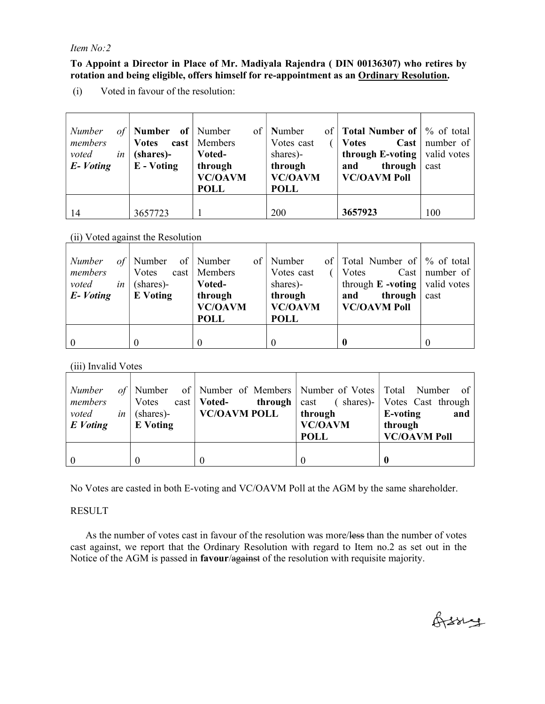#### Item No:2

#### To Appoint a Director in Place of Mr. Madiyala Rajendra ( DIN 00136307) who retires by rotation and being eligible, offers himself for re-appointment as an Ordinary Resolution.

(i) Voted in favour of the resolution:

| Number<br>of<br>members<br>voted<br>in<br>E-Voting | <b>Number</b> of Number<br><b>Votes</b><br>(shares)-<br>E - Voting | of  <br>cast   Members<br>Voted-<br>through<br><b>VC/OAVM</b><br><b>POLL</b> | Number<br>Votes cast<br>shares)-<br>through<br><b>VC/OAVM</b><br><b>POLL</b> | of $\vert$ Total Number of $\vert \%$ of total<br>$\text{Cast}$<br><b>Votes</b><br>through E-voting $\vert$<br>through<br>and<br><b>VC/OAVM Poll</b> | number of<br>valid votes<br>cast |
|----------------------------------------------------|--------------------------------------------------------------------|------------------------------------------------------------------------------|------------------------------------------------------------------------------|------------------------------------------------------------------------------------------------------------------------------------------------------|----------------------------------|
| 14                                                 | 3657723                                                            |                                                                              | 200                                                                          | 3657923                                                                                                                                              | 100                              |

# (ii) Voted against the Resolution

| Number<br>of | Number          | of   Number<br>of I | Number         | of Total Number of $\%$ of total |                  |
|--------------|-----------------|---------------------|----------------|----------------------------------|------------------|
| members      | Votes           | cast   Members      | Votes cast     | Votes                            | Cast   number of |
| voted<br>in  | (shares)-       | Voted-              | shares)-       | through $E$ -voting              | valid votes      |
| E-Voting     | <b>E</b> Voting | through             | through        | through<br>and                   | cast             |
|              |                 | <b>VC/OAVM</b>      | <b>VC/OAVM</b> | <b>VC/OAVM Poll</b>              |                  |
|              |                 | <b>POLL</b>         | <b>POLL</b>    |                                  |                  |
|              |                 |                     |                |                                  |                  |
|              |                 | $\theta$            |                |                                  |                  |

# (iii) Invalid Votes

| <i>Number</i> |                     | of Number of Number of Members Number of Votes Total Number of     |                |                     |
|---------------|---------------------|--------------------------------------------------------------------|----------------|---------------------|
| members       |                     | Votes cast <b>Voted-</b> through cast (shares)- Votes Cast through |                |                     |
| voted         | <i>in</i> (shares)- | <b>VC/OAVM POLL</b>                                                | through        | E-voting<br>and     |
| E Voting      | <b>E</b> Voting     |                                                                    | <b>VC/OAVM</b> | through             |
|               |                     |                                                                    | <b>POLL</b>    | <b>VC/OAVM Poll</b> |
|               |                     |                                                                    |                |                     |
|               | $\theta$            |                                                                    |                |                     |

No Votes are casted in both E-voting and VC/OAVM Poll at the AGM by the same shareholder.

# RESULT

As the number of votes cast in favour of the resolution was more/less than the number of votes cast against, we report that the Ordinary Resolution with regard to Item no.2 as set out in the Notice of the AGM is passed in **favour/against** of the resolution with requisite majority.

Orssig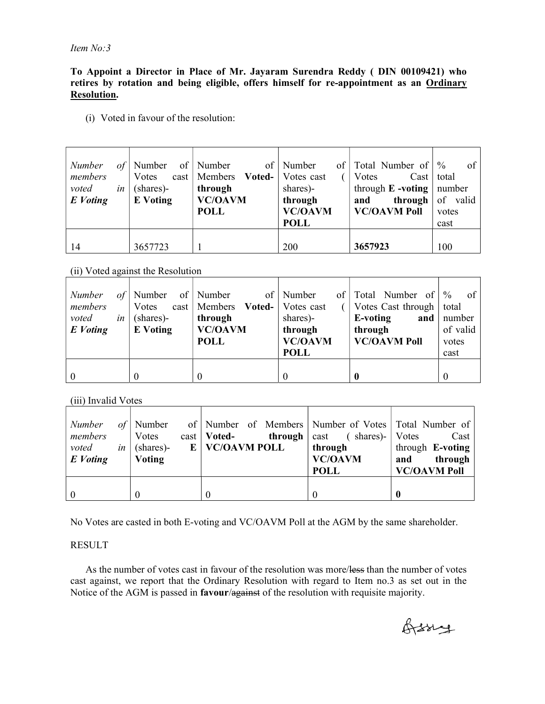To Appoint a Director in Place of Mr. Jayaram Surendra Reddy ( DIN 00109421) who retires by rotation and being eligible, offers himself for re-appointment as an Ordinary Resolution.

(i) Voted in favour of the resolution:

| Number<br>members | of' | Number of Number<br>Votes    | $\sigma$ f<br>cast   Members Voted-      | of <sub>1</sub><br>Number<br>Votes cast              | Total Number of<br>Votes<br>$\text{Cast}$                             | of<br>$\frac{0}{0}$<br>total |
|-------------------|-----|------------------------------|------------------------------------------|------------------------------------------------------|-----------------------------------------------------------------------|------------------------------|
| voted<br>E Voting | in  | (shares)-<br><b>E</b> Voting | through<br><b>VC/OAVM</b><br><b>POLL</b> | shares)-<br>through<br><b>VC/OAVM</b><br><b>POLL</b> | through $E$ -voting   number<br>through<br>and<br><b>VC/OAVM Poll</b> | of valid<br>votes<br>cast    |
| -14               |     | 3657723                      |                                          | 200                                                  | 3657923                                                               | 100                          |

(ii) Voted against the Resolution

| Number<br>of<br>members<br>voted<br>in<br>E Voting | Number<br>Votes<br>(shares)-<br><b>E</b> Voting | of   Number<br>cast   Members <b>Voted-</b>  <br>through<br><b>VC/OAVM</b><br><b>POLL</b> | of   Number<br>Votes cast<br>shares)-<br>through<br><b>VC/OAVM</b><br><b>POLL</b> | of Total Number of $\%$<br>Votes Cast through   total<br>and $\vert$<br>E-voting<br>through<br><b>VC/OAVM Poll</b> | of<br>number<br>of valid<br>votes<br>cast |
|----------------------------------------------------|-------------------------------------------------|-------------------------------------------------------------------------------------------|-----------------------------------------------------------------------------------|--------------------------------------------------------------------------------------------------------------------|-------------------------------------------|
|                                                    |                                                 | $\theta$                                                                                  |                                                                                   |                                                                                                                    | $\theta$                                  |

(iii) Invalid Votes

| Number<br>members<br>voted<br>$in \,  $<br>E Voting | $of$   Number<br>Votes<br>(shares)-<br>Voting | of   Number of Members   Number of Votes   Total Number of  <br>$cast \mid Voted$<br><b>through</b> $\vert$ cast<br>$E$   VC/OAVM POLL | $($ shares)-<br>through<br><b>VC/OAVM</b> | Votes<br>Cast<br>through E-voting<br>through<br>and |
|-----------------------------------------------------|-----------------------------------------------|----------------------------------------------------------------------------------------------------------------------------------------|-------------------------------------------|-----------------------------------------------------|
|                                                     |                                               |                                                                                                                                        | <b>POLL</b>                               | <b>VC/OAVM Poll</b>                                 |
|                                                     |                                               |                                                                                                                                        |                                           |                                                     |
| $\overline{0}$                                      |                                               |                                                                                                                                        |                                           |                                                     |

No Votes are casted in both E-voting and VC/OAVM Poll at the AGM by the same shareholder.

#### RESULT

As the number of votes cast in favour of the resolution was more/less than the number of votes cast against, we report that the Ordinary Resolution with regard to Item no.3 as set out in the Notice of the AGM is passed in favour/against of the resolution with requisite majority.

Orssing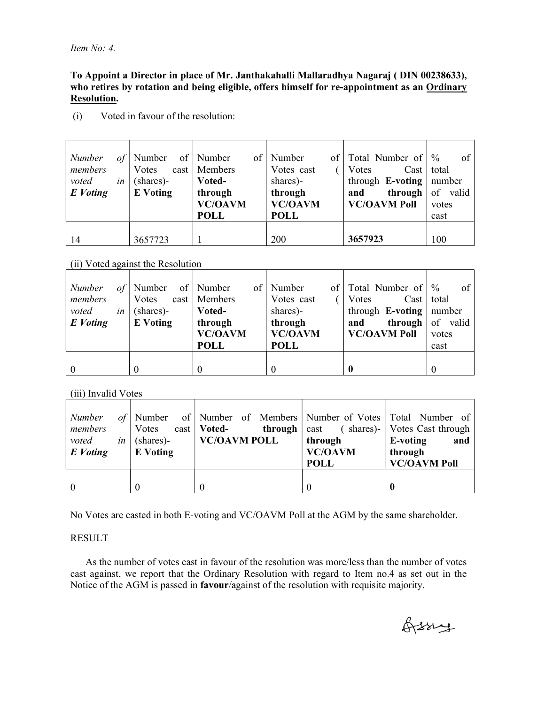#### To Appoint a Director in place of Mr. Janthakahalli Mallaradhya Nagaraj ( DIN 00238633), who retires by rotation and being eligible, offers himself for re-appointment as an Ordinary Resolution.

| <b>Number</b><br>members | of | Number<br>Votes | of   Number<br>of 1<br>cast   Members    | Number<br>Votes cast                     | of   Total Number of  <br>Cast<br>Votes | of<br>$\frac{0}{0}$<br>total |
|--------------------------|----|-----------------|------------------------------------------|------------------------------------------|-----------------------------------------|------------------------------|
| voted                    | in | (shares)-       | Voted-                                   | shares)-                                 | through <b>E-voting</b>   number        |                              |
| E Voting                 |    | <b>E</b> Voting | through<br><b>VC/OAVM</b><br><b>POLL</b> | through<br><b>VC/OAVM</b><br><b>POLL</b> | through<br>and<br><b>VC/OAVM Poll</b>   | of valid<br>votes<br>cast    |
| 14                       |    | 3657723         |                                          | 200                                      | 3657923                                 | 100                          |

(i) Voted in favour of the resolution:

# (ii) Voted against the Resolution

| Number   | of | Number          | of   Number<br>of | Number         | of   Total Number of   | $\frac{0}{0}$<br>of |
|----------|----|-----------------|-------------------|----------------|------------------------|---------------------|
| members  |    | Votes           | cast   Members    | Votes cast     | Votes<br>$\text{Cast}$ | total               |
| voted    | in | (shares)-       | Voted-            | shares)-       | through $E$ -voting    | number              |
| E Voting |    | <b>E</b> Voting | through           | through        | through<br>and         | of valid            |
|          |    |                 | <b>VC/OAVM</b>    | <b>VC/OAVM</b> | <b>VC/OAVM Poll</b>    | votes               |
|          |    |                 | <b>POLL</b>       | <b>POLL</b>    |                        | cast                |
|          |    |                 |                   |                |                        |                     |
| $\theta$ |    |                 | 0                 |                |                        |                     |

 $(iii)$  Invalid Votes

| <b>Number</b><br>members<br>voted<br>in <sub>1</sub><br>E Voting | Votes<br>(shares)-<br><b>E</b> Voting | of Number of Number of Members Number of Votes Total Number of<br>$\text{cast} \mid \text{Voted}$<br>VC/OAVM POLL | through<br><b>VC/OAVM</b><br><b>POLL</b> | <b>through</b> $\vert$ cast (shares)- $\vert$ Votes Cast through<br>E-voting<br>and<br>through<br><b>VC/OAVM Poll</b> |
|------------------------------------------------------------------|---------------------------------------|-------------------------------------------------------------------------------------------------------------------|------------------------------------------|-----------------------------------------------------------------------------------------------------------------------|
|                                                                  |                                       |                                                                                                                   |                                          |                                                                                                                       |

No Votes are casted in both E-voting and VC/OAVM Poll at the AGM by the same shareholder.

# RESULT

As the number of votes cast in favour of the resolution was more/less than the number of votes cast against, we report that the Ordinary Resolution with regard to Item no.4 as set out in the Notice of the AGM is passed in favour/against of the resolution with requisite majority.

Orssig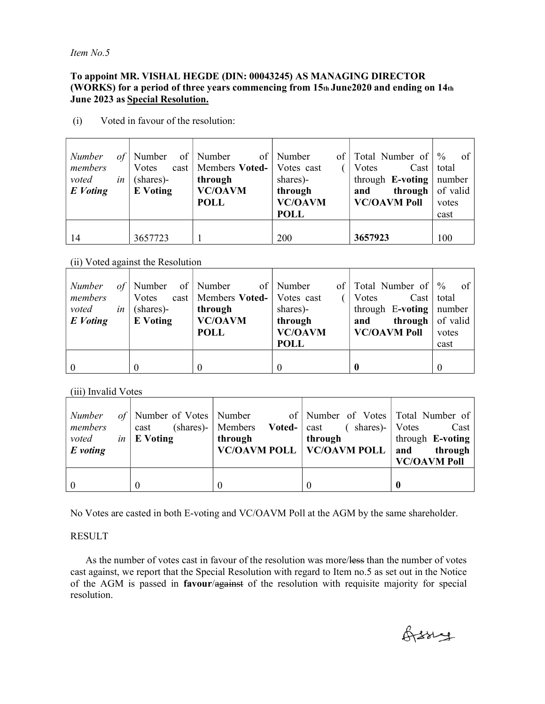Item No.5

#### To appoint MR. VISHAL HEGDE (DIN: 00043245) AS MANAGING DIRECTOR (WORKS) for a period of three years commencing from  $15<sub>th</sub>$  June2020 and ending on  $14<sub>th</sub>$ June 2023 as Special Resolution.

| Number<br>of | Number          | of   Number<br>$\sigma$ f  | $\ $ of $\ $<br>Number | Total Number of $\%$           | - of  |
|--------------|-----------------|----------------------------|------------------------|--------------------------------|-------|
| members      | Votes           | $cast \mid$ Members Voted- | Votes cast             | Votes<br>Cast   total          |       |
| voted<br>in  | (shares)-       | through                    | shares)-               | through $E$ -voting   number   |       |
| E Voting     | <b>E</b> Voting | <b>VC/OAVM</b>             | through                | <b>through</b> of valid<br>and |       |
|              |                 | <b>POLL</b>                | <b>VC/OAVM</b>         | <b>VC/OAVM Poll</b>            | votes |
|              |                 |                            | <b>POLL</b>            |                                | cast  |
|              |                 |                            |                        |                                |       |
| 14           | 3657723         |                            | 200                    | 3657923                        | 100   |

(i) Voted in favour of the resolution:

#### (ii) Voted against the Resolution

| of<br><b>Number</b><br>members<br>voted<br>in<br>E Voting | Number of Number<br>Votes<br>(shares)-<br>E Voting | cast   Members Voted-   Votes cast<br>through<br><b>VC/OAVM</b><br><b>POLL</b> | of   Number<br>of <sub>1</sub><br>shares)-<br>through<br><b>VC/OAVM</b><br><b>POLL</b> | Total Number of $\%$<br>Cast   total<br>Votes<br>through $E$ -voting   number<br><b>through</b> $\sigma$ of valid<br>and<br><b>VC/OAVM Poll</b> | <sub>of</sub><br>votes<br>cast |
|-----------------------------------------------------------|----------------------------------------------------|--------------------------------------------------------------------------------|----------------------------------------------------------------------------------------|-------------------------------------------------------------------------------------------------------------------------------------------------|--------------------------------|
| $\overline{0}$                                            |                                                    | $\theta$                                                                       |                                                                                        |                                                                                                                                                 | $\theta$                       |

(iii) Invalid Votes

| <i>Number</i><br>members<br><i>voted</i> in E Voting<br>$E$ voting | cast | through | of Number of Votes Number of Number of Votes Total Number of<br>(shares)-   Members <b>Voted-</b>   cast (shares)-   Votes<br>through<br>$\vert$ VC/OAVM POLL $\vert$ VC/OAVM POLL $\vert$ and through | Cast<br>through E-voting<br><b>VC/OAVM Poll</b> |
|--------------------------------------------------------------------|------|---------|--------------------------------------------------------------------------------------------------------------------------------------------------------------------------------------------------------|-------------------------------------------------|
|                                                                    |      |         |                                                                                                                                                                                                        |                                                 |

No Votes are casted in both E-voting and VC/OAVM Poll at the AGM by the same shareholder.

# RESULT

As the number of votes cast in favour of the resolution was more/less than the number of votes cast against, we report that the Special Resolution with regard to Item no.5 as set out in the Notice of the AGM is passed in favour/against of the resolution with requisite majority for special resolution.

Orssig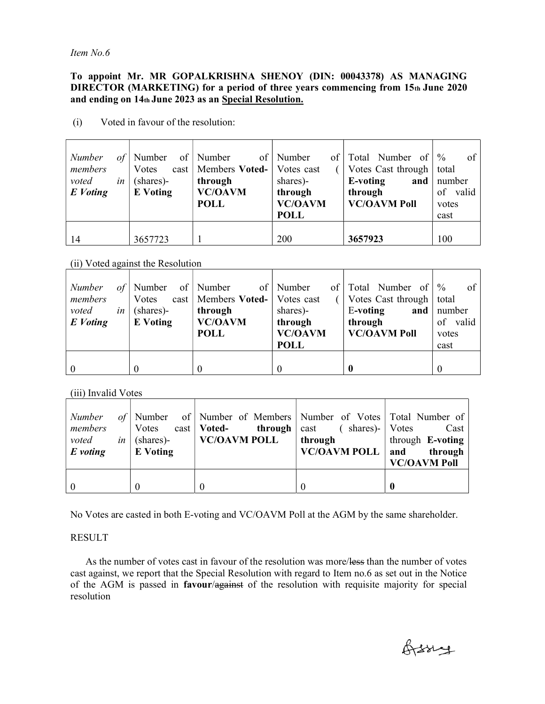Item No.6

#### To appoint Mr. MR GOPALKRISHNA SHENOY (DIN: 00043378) AS MANAGING DIRECTOR (MARKETING) for a period of three years commencing from 15th June 2020 and ending on 14th June 2023 as an Special Resolution.

| Number<br><b>Number</b><br>$\sigma f$<br>members<br>Votes | of   Number<br>cast   Members Voted-   Votes cast | $\ $<br>of   Number | Total Number of<br>Votes Cast through | of<br>$\frac{0}{0}$<br>total |
|-----------------------------------------------------------|---------------------------------------------------|---------------------|---------------------------------------|------------------------------|
| voted<br>(shares)-<br>in                                  | through                                           | shares)-            | E-voting<br>and                       | number                       |
| E Voting<br><b>E</b> Voting                               | <b>VC/OAVM</b>                                    | through             | through                               | of valid                     |
|                                                           | <b>POLL</b>                                       | <b>VC/OAVM</b>      | <b>VC/OAVM Poll</b>                   | votes                        |
|                                                           |                                                   | <b>POLL</b>         |                                       | cast                         |
|                                                           |                                                   |                     |                                       |                              |
| 3657723<br>14                                             |                                                   | 200                 | 3657923                               | 100                          |

(i) Voted in favour of the resolution:

#### (ii) Voted against the Resolution

| <b>Number</b>  | of | Number of Number |                                    | of   Number<br>of <sub>l</sub> | Total Number of            | $\frac{0}{0}$<br>of |
|----------------|----|------------------|------------------------------------|--------------------------------|----------------------------|---------------------|
| members        |    | Votes            | cast   Members Voted-   Votes cast |                                | Votes Cast through $\vert$ | total               |
| voted          | in | (shares)-        | through                            | shares)-                       | E-voting<br>and $\vert$    | number              |
| E Voting       |    | <b>E</b> Voting  | <b>VC/OAVM</b>                     | through                        | through                    | of valid            |
|                |    |                  | <b>POLL</b>                        | <b>VC/OAVM</b>                 | <b>VC/OAVM Poll</b>        | votes               |
|                |    |                  |                                    | <b>POLL</b>                    |                            | cast                |
|                |    |                  |                                    |                                |                            |                     |
| $\overline{0}$ |    | $\theta$         |                                    |                                |                            |                     |

(iii) Invalid Votes

| Number<br>members<br>voted<br>$E$ voting | <i>in</i> (shares)-<br><b>E</b> Voting | of Number of Number of Members Number of Votes Total Number of<br>Votes cast   <b>Voted-</b> through   cast ( shares)-   Votes<br>$\mid$ VC/OAVM POLL | through<br>$VC/OAVM$ $POLL$   and | Cast<br>through E-voting<br>through<br><b>VC/OAVM Poll</b> |
|------------------------------------------|----------------------------------------|-------------------------------------------------------------------------------------------------------------------------------------------------------|-----------------------------------|------------------------------------------------------------|
|                                          |                                        |                                                                                                                                                       |                                   |                                                            |

No Votes are casted in both E-voting and VC/OAVM Poll at the AGM by the same shareholder.

#### RESULT

As the number of votes cast in favour of the resolution was more/less than the number of votes cast against, we report that the Special Resolution with regard to Item no.6 as set out in the Notice of the AGM is passed in favour/against of the resolution with requisite majority for special resolution

Orssing